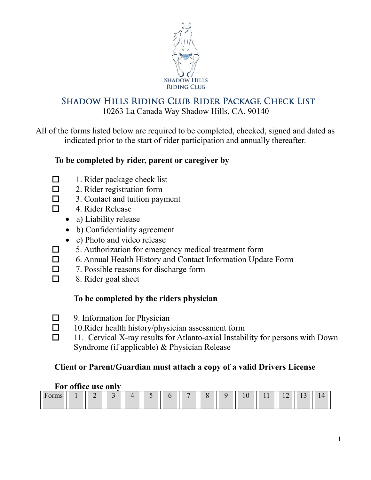

# Shadow Hills Riding Club Rider Package Check List

10263 La Canada Way Shadow Hills, CA. 90140

All of the forms listed below are required to be completed, checked, signed and dated as indicated prior to the start of rider participation and annually thereafter.

## **To be completed by rider, parent or caregiver by**

- $\Box$  1. Rider package check list
- □ 2. Rider registration form
- $\Box$  3. Contact and tuition payment
- $\Box$  4. Rider Release
	- a) Liability release
	- b) Confidentiality agreement
	- c) Photo and video release
- 5. Authorization for emergency medical treatment form
- 6. Annual Health History and Contact Information Update Form
- □ 7. Possible reasons for discharge form
- $\Box$  8. Rider goal sheet

## **To be completed by the riders physician**

- $\Box$  9. Information for Physician
- $\Box$  10. Rider health history/physician assessment form
- $\Box$  11. Cervical X-ray results for Atlanto-axial Instability for persons with Down Syndrome (if applicable) & Physician Release

## **Client or Parent/Guardian must attach a copy of a valid Drivers License**

| <b>FUI UILICE USE UILLY</b> |  |  |  |  |  |  |  |  |  |     |            |  |
|-----------------------------|--|--|--|--|--|--|--|--|--|-----|------------|--|
|                             |  |  |  |  |  |  |  |  |  | . . | <u>. .</u> |  |
|                             |  |  |  |  |  |  |  |  |  |     |            |  |

#### **For office use only**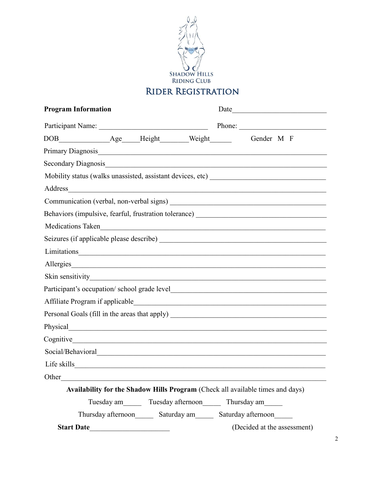

## Rider Registration

| <b>Program Information</b> |  |                                                                                                                                                                                                                                |
|----------------------------|--|--------------------------------------------------------------------------------------------------------------------------------------------------------------------------------------------------------------------------------|
|                            |  | Participant Name: Phone: Phone: Phone: Phone: Phone: Phone: Phone: Phone: Phone: Phone: Phone: Phone: Phone: Phone: Phone: Phone: Phone: Phone: Phone: Phone: Phone: Phone: Phone: Phone: Phone: Phone: Phone: Phone: Phone: P |
|                            |  | DOB________________________Age______Height___________Weight_____________Gender M F                                                                                                                                             |
|                            |  |                                                                                                                                                                                                                                |
|                            |  |                                                                                                                                                                                                                                |
|                            |  | Mobility status (walks unassisted, assistant devices, etc) ______________________                                                                                                                                              |
|                            |  |                                                                                                                                                                                                                                |
|                            |  |                                                                                                                                                                                                                                |
|                            |  | Behaviors (impulsive, fearful, frustration tolerance) __________________________                                                                                                                                               |
|                            |  | Medications Taken                                                                                                                                                                                                              |
|                            |  |                                                                                                                                                                                                                                |
|                            |  |                                                                                                                                                                                                                                |
| Allergies                  |  |                                                                                                                                                                                                                                |
|                            |  |                                                                                                                                                                                                                                |
|                            |  |                                                                                                                                                                                                                                |
|                            |  |                                                                                                                                                                                                                                |
|                            |  | Personal Goals (fill in the areas that apply) ___________________________________                                                                                                                                              |
|                            |  | Physical and the contract of the contract of the contract of the contract of the contract of the contract of the contract of the contract of the contract of the contract of the contract of the contract of the contract of t |
|                            |  | Cognitive Sales Constants and the Constant of the Constant of the Constant of the Constant of the Constant of the Constant of the Constant of the Constant of the Constant of the Constant of the Constant of the Constant of  |
| Social/Behavioral          |  |                                                                                                                                                                                                                                |
|                            |  |                                                                                                                                                                                                                                |
| Other                      |  |                                                                                                                                                                                                                                |
|                            |  | Availability for the Shadow Hills Program (Check all available times and days)                                                                                                                                                 |
|                            |  | Tuesday am_________ Tuesday afternoon__________ Thursday am________                                                                                                                                                            |
|                            |  | Thursday afternoon_________ Saturday am_________ Saturday afternoon_______                                                                                                                                                     |
| <b>Start Date</b>          |  | (Decided at the assessment)                                                                                                                                                                                                    |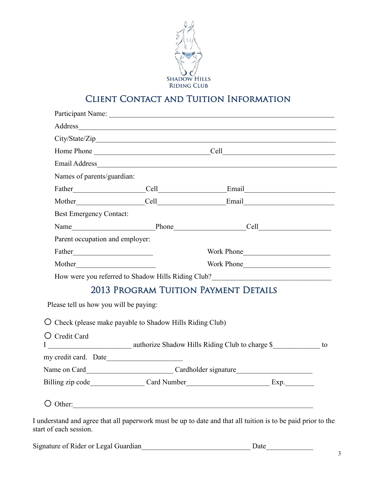

# Client Contact and Tuition Information

| Names of parents/guardian:      |                                        |                                                                                                                                                                                                                                                                                                                                                                                            |  |  |  |  |
|---------------------------------|----------------------------------------|--------------------------------------------------------------------------------------------------------------------------------------------------------------------------------------------------------------------------------------------------------------------------------------------------------------------------------------------------------------------------------------------|--|--|--|--|
|                                 |                                        |                                                                                                                                                                                                                                                                                                                                                                                            |  |  |  |  |
|                                 |                                        |                                                                                                                                                                                                                                                                                                                                                                                            |  |  |  |  |
| <b>Best Emergency Contact:</b>  |                                        |                                                                                                                                                                                                                                                                                                                                                                                            |  |  |  |  |
|                                 |                                        |                                                                                                                                                                                                                                                                                                                                                                                            |  |  |  |  |
| Parent occupation and employer: |                                        |                                                                                                                                                                                                                                                                                                                                                                                            |  |  |  |  |
|                                 |                                        |                                                                                                                                                                                                                                                                                                                                                                                            |  |  |  |  |
| Mother                          |                                        |                                                                                                                                                                                                                                                                                                                                                                                            |  |  |  |  |
|                                 |                                        |                                                                                                                                                                                                                                                                                                                                                                                            |  |  |  |  |
|                                 |                                        |                                                                                                                                                                                                                                                                                                                                                                                            |  |  |  |  |
|                                 |                                        |                                                                                                                                                                                                                                                                                                                                                                                            |  |  |  |  |
|                                 |                                        |                                                                                                                                                                                                                                                                                                                                                                                            |  |  |  |  |
|                                 |                                        |                                                                                                                                                                                                                                                                                                                                                                                            |  |  |  |  |
| O Credit Card                   |                                        |                                                                                                                                                                                                                                                                                                                                                                                            |  |  |  |  |
|                                 |                                        |                                                                                                                                                                                                                                                                                                                                                                                            |  |  |  |  |
|                                 |                                        |                                                                                                                                                                                                                                                                                                                                                                                            |  |  |  |  |
|                                 |                                        |                                                                                                                                                                                                                                                                                                                                                                                            |  |  |  |  |
|                                 | Please tell us how you will be paying: | Father Cell Email Email<br>How were you referred to Shadow Hills Riding Club?<br><u>Letting</u> Club and the state of the state of the Shadow Hills Riding Club?<br><u>Letting Club and the state of the state of the state of the state of the state of the state o</u><br>2013 PROGRAM TUITION PAYMENT DETAILS<br>$\overline{O}$ Check (please make payable to Shadow Hills Riding Club) |  |  |  |  |

start of each session.

Signature of Rider or Legal Guardian\_\_\_\_\_\_\_\_\_\_\_\_\_\_\_\_\_\_\_\_\_\_\_\_\_\_\_\_\_\_ Date\_\_\_\_\_\_\_\_\_\_\_\_\_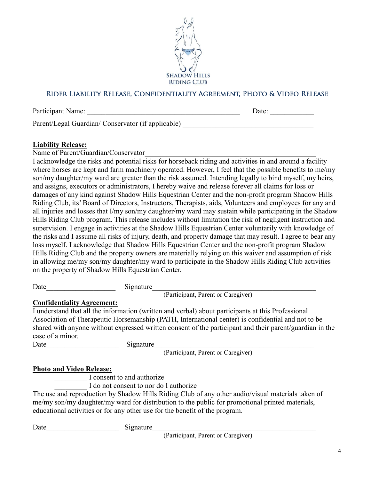

### Rider Liability Release, Confidentiality Agreement, Photo & Video Release

Participant Name: \_\_\_\_\_\_\_\_\_\_\_\_\_\_\_\_\_\_\_\_\_\_\_\_\_\_\_\_\_\_\_\_\_\_\_\_\_\_\_\_\_\_ Date: \_\_\_\_\_\_\_\_\_\_\_\_

Parent/Legal Guardian/ Conservator (if applicable)

#### **Liability Release:**

Name of Parent/Guardian/Conservator

I acknowledge the risks and potential risks for horseback riding and activities in and around a facility where horses are kept and farm machinery operated. However, I feel that the possible benefits to me/my son/my daughter/my ward are greater than the risk assumed. Intending legally to bind myself, my heirs, and assigns, executors or administrators, I hereby waive and release forever all claims for loss or damages of any kind against Shadow Hills Equestrian Center and the non-profit program Shadow Hills Riding Club, its' Board of Directors, Instructors, Therapists, aids, Volunteers and employees for any and all injuries and losses that I/my son/my daughter/my ward may sustain while participating in the Shadow Hills Riding Club program. This release includes without limitation the risk of negligent instruction and supervision. I engage in activities at the Shadow Hills Equestrian Center voluntarily with knowledge of the risks and I assume all risks of injury, death, and property damage that may result. I agree to bear any loss myself. I acknowledge that Shadow Hills Equestrian Center and the non-profit program Shadow Hills Riding Club and the property owners are materially relying on this waiver and assumption of risk in allowing me/my son/my daughter/my ward to participate in the Shadow Hills Riding Club activities on the property of Shadow Hills Equestrian Center.

Date Signature

(Participant, Parent or Caregiver)

#### **Confidentiality Agreement:**

I understand that all the information (written and verbal) about participants at this Professional Association of Therapeutic Horsemanship (PATH, International center) is confidential and not to be shared with anyone without expressed written consent of the participant and their parent/guardian in the case of a minor.

Date Signature

(Participant, Parent or Caregiver)

#### **Photo and Video Release:**

I consent to and authorize

\_\_\_\_\_\_\_\_\_ I do not consent to nor do I authorize

The use and reproduction by Shadow Hills Riding Club of any other audio/visual materials taken of me/my son/my daughter/my ward for distribution to the public for promotional printed materials, educational activities or for any other use for the benefit of the program.

Date Signature

(Participant, Parent or Caregiver)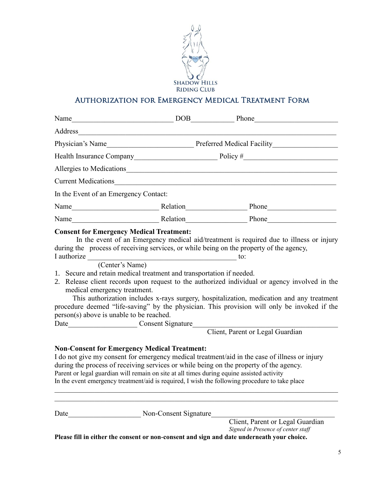

### Authorization for Emergency Medical Treatment Form

| Name                                  | <b>DOB</b> | Phone                      |
|---------------------------------------|------------|----------------------------|
| Address                               |            |                            |
| Physician's Name                      |            | Preferred Medical Facility |
| Health Insurance Company              |            | Policy $\#$                |
| Allergies to Medications              |            |                            |
| <b>Current Medications</b>            |            |                            |
| In the Event of an Emergency Contact: |            |                            |
| Relation<br>Name                      |            | Phone                      |
| Name                                  | Relation   | Phone                      |

#### **Consent for Emergency Medical Treatment:**

In the event of an Emergency medical aid/treatment is required due to illness or injury during the process of receiving services, or while being on the property of the agency, I authorize \_\_\_\_\_\_\_\_\_\_\_\_\_\_\_\_\_\_\_\_\_\_\_\_\_\_\_\_\_\_\_\_\_\_\_\_\_\_\_\_\_ to:

(Center's Name)

- 1. Secure and retain medical treatment and transportation if needed.
- 2. Release client records upon request to the authorized individual or agency involved in the medical emergency treatment.

 This authorization includes x-rays surgery, hospitalization, medication and any treatment procedure deemed "life-saving" by the physician. This provision will only be invoked if the person(s) above is unable to be reached.

Date Consent Signature

Client, Parent or Legal Guardian

#### **Non-Consent for Emergency Medical Treatment:**

I do not give my consent for emergency medical treatment/aid in the case of illness or injury during the process of receiving services or while being on the property of the agency. Parent or legal guardian will remain on site at all times during equine assisted activity In the event emergency treatment/aid is required, I wish the following procedure to take place

 $\mathcal{L}_\mathcal{L} = \{ \mathcal{L}_\mathcal{L} = \{ \mathcal{L}_\mathcal{L} = \{ \mathcal{L}_\mathcal{L} = \{ \mathcal{L}_\mathcal{L} = \{ \mathcal{L}_\mathcal{L} = \{ \mathcal{L}_\mathcal{L} = \{ \mathcal{L}_\mathcal{L} = \{ \mathcal{L}_\mathcal{L} = \{ \mathcal{L}_\mathcal{L} = \{ \mathcal{L}_\mathcal{L} = \{ \mathcal{L}_\mathcal{L} = \{ \mathcal{L}_\mathcal{L} = \{ \mathcal{L}_\mathcal{L} = \{ \mathcal{L}_\mathcal{$  $\mathcal{L}_\mathcal{L} = \{ \mathcal{L}_\mathcal{L} = \{ \mathcal{L}_\mathcal{L} = \{ \mathcal{L}_\mathcal{L} = \{ \mathcal{L}_\mathcal{L} = \{ \mathcal{L}_\mathcal{L} = \{ \mathcal{L}_\mathcal{L} = \{ \mathcal{L}_\mathcal{L} = \{ \mathcal{L}_\mathcal{L} = \{ \mathcal{L}_\mathcal{L} = \{ \mathcal{L}_\mathcal{L} = \{ \mathcal{L}_\mathcal{L} = \{ \mathcal{L}_\mathcal{L} = \{ \mathcal{L}_\mathcal{L} = \{ \mathcal{L}_\mathcal{$ 

Date **Date Non-Consent Signature** 

Client, Parent or Legal Guardian *Signed in Presence of center staff*

**Please fill in either the consent or non-consent and sign and date underneath your choice.**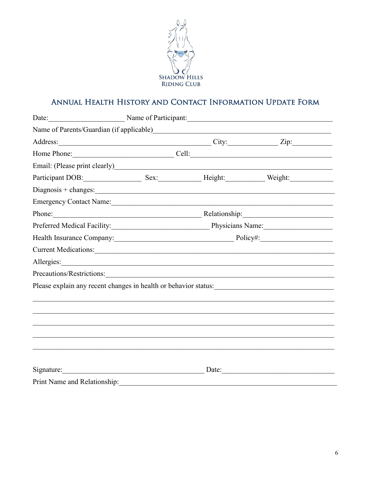

# ANNUAL HEALTH HISTORY AND CONTACT INFORMATION UPDATE FORM

| Date: Name of Participant:                                                                                                                                                                                                       |                     |                |
|----------------------------------------------------------------------------------------------------------------------------------------------------------------------------------------------------------------------------------|---------------------|----------------|
|                                                                                                                                                                                                                                  |                     |                |
| Address:                                                                                                                                                                                                                         |                     | $City:$ $Zip:$ |
| Home Phone: Cell: Cell:                                                                                                                                                                                                          |                     |                |
| Email: (Please print clearly)<br><u>Email:</u> (Please print clearly)                                                                                                                                                            |                     |                |
| Participant DOB: Sex: Sex: Height: Weight: Weight:                                                                                                                                                                               |                     |                |
|                                                                                                                                                                                                                                  |                     |                |
| Emergency Contact Name: 1988                                                                                                                                                                                                     |                     |                |
| Phone: Relationship: Relationship:                                                                                                                                                                                               |                     |                |
| Preferred Medical Facility: Physicians Name: Manuel Medical Facility:                                                                                                                                                            |                     |                |
| Health Insurance Company: Department of Policy#: Policy#:                                                                                                                                                                        |                     |                |
| Current Medications:                                                                                                                                                                                                             |                     |                |
|                                                                                                                                                                                                                                  |                     |                |
|                                                                                                                                                                                                                                  |                     |                |
| Please explain any recent changes in health or behavior status:<br>The matter of the contract of the plane of the contract of the contract of the contract of the contract of the contract of the contract of the contract of th |                     |                |
|                                                                                                                                                                                                                                  |                     |                |
|                                                                                                                                                                                                                                  |                     |                |
|                                                                                                                                                                                                                                  |                     |                |
|                                                                                                                                                                                                                                  |                     |                |
|                                                                                                                                                                                                                                  |                     |                |
|                                                                                                                                                                                                                                  |                     |                |
| Signature:                                                                                                                                                                                                                       | Date: $\frac{1}{2}$ |                |
| Print Name and Relationship:                                                                                                                                                                                                     |                     |                |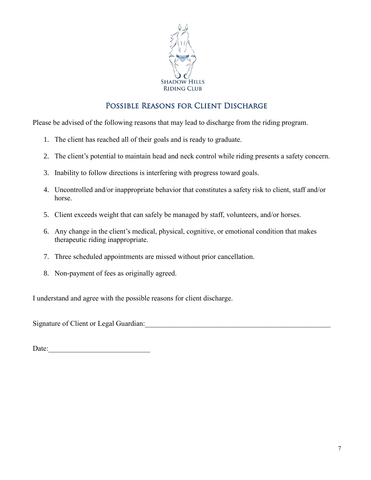

## Possible Reasons for Client Discharge

Please be advised of the following reasons that may lead to discharge from the riding program.

- 1. The client has reached all of their goals and is ready to graduate.
- 2. The client's potential to maintain head and neck control while riding presents a safety concern.
- 3. Inability to follow directions is interfering with progress toward goals.
- 4. Uncontrolled and/or inappropriate behavior that constitutes a safety risk to client, staff and/or horse.
- 5. Client exceeds weight that can safely be managed by staff, volunteers, and/or horses.
- 6. Any change in the client's medical, physical, cognitive, or emotional condition that makes therapeutic riding inappropriate.
- 7. Three scheduled appointments are missed without prior cancellation.
- 8. Non-payment of fees as originally agreed.

I understand and agree with the possible reasons for client discharge.

Signature of Client or Legal Guardian:

Date: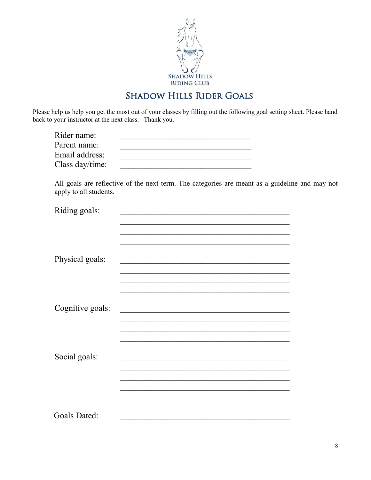

## **SHADOW HILLS RIDER GOALS**

Please help us help you get the most out of your classes by filling out the following goal setting sheet. Please hand back to your instructor at the next class. Thank you.

| Rider name:     |  |
|-----------------|--|
| Parent name:    |  |
| Email address:  |  |
| Class day/time: |  |

All goals are reflective of the next term. The categories are meant as a guideline and may not apply to all students.

| Riding goals:    |  |
|------------------|--|
|                  |  |
|                  |  |
|                  |  |
|                  |  |
| Physical goals:  |  |
|                  |  |
|                  |  |
|                  |  |
|                  |  |
| Cognitive goals: |  |
|                  |  |
|                  |  |
|                  |  |
| Social goals:    |  |
|                  |  |
|                  |  |
|                  |  |
|                  |  |
|                  |  |
| Goals Dated:     |  |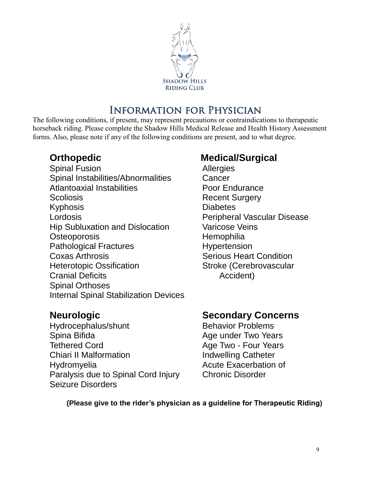

# Information for Physician

The following conditions, if present, may represent precautions or contraindications to therapeutic horseback riding. Please complete the Shadow Hills Medical Release and Health History Assessment forms. Also, please note if any of the following conditions are present, and to what degree.

Spinal Fusion **Allergies** Spinal Instabilities/Abnormalities Cancer Atlantoaxial Instabilities **Poor Endurance** Scoliosis Recent Surgery Kyphosis **Diabetes** Lordosis Peripheral Vascular Disease Hip Subluxation and Dislocation Varicose Veins Osteoporosis Hemophilia Pathological Fractures Hypertension **Coxas Arthrosis** Coxas Arthrosis **Serious Heart Condition** Heterotopic Ossification Stroke (Cerebrovascular Cranial Deficits **Accident**) **Accident** Spinal Orthoses Internal Spinal Stabilization Devices

Hydrocephalus/shunt Behavior Problems Spina Bifida Age under Two Years Tethered Cord **Age Two - Four Years** Chiari II Malformation **Indwelling Catheter** Hydromyelia **Acute Exacerbation** of Paralysis due to Spinal Cord Injury Chronic Disorder Seizure Disorders

# **Orthopedic Medical/Surgical**

# **Neurologic Secondary Concerns**

**(Please give to the rider's physician as a guideline for Therapeutic Riding)**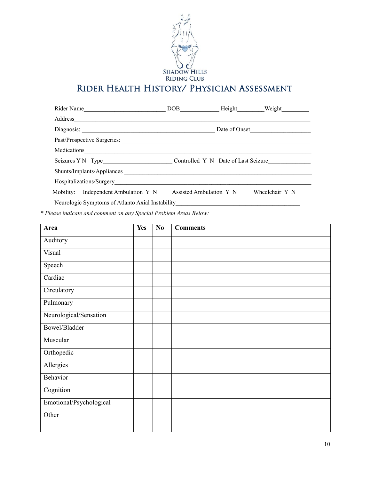

## Rider Health History/ Physician Assessment

| Rider Name                                            | DOB <sub>1</sub>        | Height | Weight         |  |
|-------------------------------------------------------|-------------------------|--------|----------------|--|
|                                                       |                         |        |                |  |
|                                                       | Date of Onset           |        |                |  |
|                                                       |                         |        |                |  |
| Medications                                           |                         |        |                |  |
| Seizures Y N Type Controlled Y N Date of Last Seizure |                         |        |                |  |
| Shunts/Implants/Appliances                            |                         |        |                |  |
|                                                       |                         |        |                |  |
| Mobility: Independent Ambulation Y N                  | Assisted Ambulation Y N |        | Wheelchair Y N |  |
| Neurologic Symptoms of Atlanto Axial Instability      |                         |        |                |  |

 *\* Please indicate and comment on any Special Problem Areas Below:*

| Area                    | <b>Yes</b> | No | <b>Comments</b> |
|-------------------------|------------|----|-----------------|
| Auditory                |            |    |                 |
| Visual                  |            |    |                 |
| Speech                  |            |    |                 |
| Cardiac                 |            |    |                 |
| Circulatory             |            |    |                 |
| Pulmonary               |            |    |                 |
| Neurological/Sensation  |            |    |                 |
| Bowel/Bladder           |            |    |                 |
| Muscular                |            |    |                 |
| Orthopedic              |            |    |                 |
| Allergies               |            |    |                 |
| Behavior                |            |    |                 |
| Cognition               |            |    |                 |
| Emotional/Psychological |            |    |                 |
| Other                   |            |    |                 |